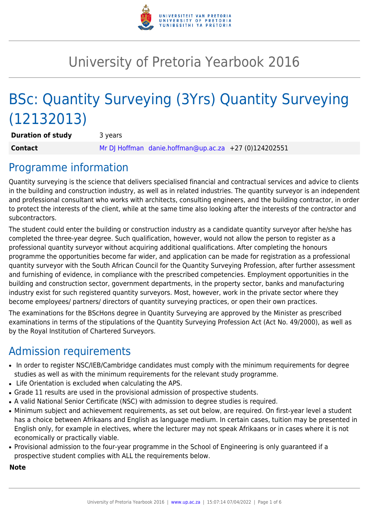

# University of Pretoria Yearbook 2016

# BSc: Quantity Surveying (3Yrs) Quantity Surveying (12132013)

**Duration of study** 3 years **Contact** [Mr DJ Hoffman](mailto:danie.hoffman@up.ac.za) [danie.hoffman@up.ac.za](mailto:danie.hoffman@up.ac.za) +27 (0)124202551

# Programme information

Quantity surveying is the science that delivers specialised financial and contractual services and advice to clients in the building and construction industry, as well as in related industries. The quantity surveyor is an independent and professional consultant who works with architects, consulting engineers, and the building contractor, in order to protect the interests of the client, while at the same time also looking after the interests of the contractor and subcontractors.

The student could enter the building or construction industry as a candidate quantity surveyor after he/she has completed the three-year degree. Such qualification, however, would not allow the person to register as a professional quantity surveyor without acquiring additional qualifications. After completing the honours programme the opportunities become far wider, and application can be made for registration as a professional quantity surveyor with the South African Council for the Quantity Surveying Profession, after further assessment and furnishing of evidence, in compliance with the prescribed competencies. Employment opportunities in the building and construction sector, government departments, in the property sector, banks and manufacturing industry exist for such registered quantity surveyors. Most, however, work in the private sector where they become employees/ partners/ directors of quantity surveying practices, or open their own practices.

The examinations for the BScHons degree in Quantity Surveying are approved by the Minister as prescribed examinations in terms of the stipulations of the Quantity Surveying Profession Act (Act No. 49/2000), as well as by the Royal Institution of Chartered Surveyors.

## Admission requirements

- In order to register NSC/IEB/Cambridge candidates must comply with the minimum requirements for degree studies as well as with the minimum requirements for the relevant study programme.
- Life Orientation is excluded when calculating the APS.
- Grade 11 results are used in the provisional admission of prospective students.
- A valid National Senior Certificate (NSC) with admission to degree studies is required.
- Minimum subject and achievement requirements, as set out below, are required. On first-year level a student has a choice between Afrikaans and English as language medium. In certain cases, tuition may be presented in English only, for example in electives, where the lecturer may not speak Afrikaans or in cases where it is not economically or practically viable.
- Provisional admission to the four-year programme in the School of Engineering is only guaranteed if a prospective student complies with ALL the requirements below.

#### **Note**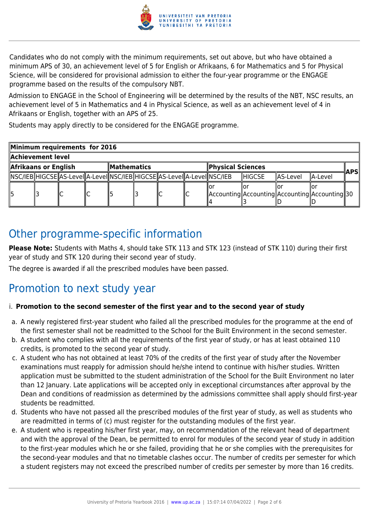

Candidates who do not comply with the minimum requirements, set out above, but who have obtained a minimum APS of 30, an achievement level of 5 for English or Afrikaans, 6 for Mathematics and 5 for Physical Science, will be considered for provisional admission to either the four-year programme or the ENGAGE programme based on the results of the compulsory NBT.

Admission to ENGAGE in the School of Engineering will be determined by the results of the NBT, NSC results, an achievement level of 5 in Mathematics and 4 in Physical Science, as well as an achievement level of 4 in Afrikaans or English, together with an APS of 25.

Students may apply directly to be considered for the ENGAGE programme.

| Minimum requirements for 2016 |  |                                                                                 |  |              |  |  |  |                                                    |                |          |           |     |
|-------------------------------|--|---------------------------------------------------------------------------------|--|--------------|--|--|--|----------------------------------------------------|----------------|----------|-----------|-----|
| Achievement level             |  |                                                                                 |  |              |  |  |  |                                                    |                |          |           |     |
| Afrikaans or English          |  |                                                                                 |  | ∥Mathematics |  |  |  | Physical Sciences                                  |                |          |           | APS |
|                               |  | NSC/IEB  HIGCSE  AS-Level  A-Level  NSC/IEB  HIGCSE  AS-Level  A-Level  NSC/IEB |  |              |  |  |  |                                                    | <b>IHIGCSE</b> | AS-Level | llA-Level |     |
|                               |  |                                                                                 |  |              |  |  |  | Accounting  Accounting  Accounting  Accounting  30 |                |          |           |     |

### Other programme-specific information

**Please Note:** Students with Maths 4, should take STK 113 and STK 123 (instead of STK 110) during their first year of study and STK 120 during their second year of study.

The degree is awarded if all the prescribed modules have been passed.

# Promotion to next study year

#### i. **Promotion to the second semester of the first year and to the second year of study**

- a. A newly registered first-year student who failed all the prescribed modules for the programme at the end of the first semester shall not be readmitted to the School for the Built Environment in the second semester.
- b. A student who complies with all the requirements of the first year of study, or has at least obtained 110 credits, is promoted to the second year of study.
- c. A student who has not obtained at least 70% of the credits of the first year of study after the November examinations must reapply for admission should he/she intend to continue with his/her studies. Written application must be submitted to the student administration of the School for the Built Environment no later than 12 January. Late applications will be accepted only in exceptional circumstances after approval by the Dean and conditions of readmission as determined by the admissions committee shall apply should first-year students be readmitted.
- d. Students who have not passed all the prescribed modules of the first year of study, as well as students who are readmitted in terms of (c) must register for the outstanding modules of the first year.
- e. A student who is repeating his/her first year, may, on recommendation of the relevant head of department and with the approval of the Dean, be permitted to enrol for modules of the second year of study in addition to the first-year modules which he or she failed, providing that he or she complies with the prerequisites for the second-year modules and that no timetable clashes occur. The number of credits per semester for which a student registers may not exceed the prescribed number of credits per semester by more than 16 credits.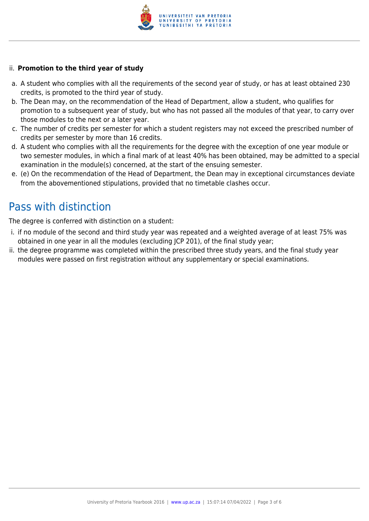

#### ii. **Promotion to the third year of study**

- a. A student who complies with all the requirements of the second year of study, or has at least obtained 230 credits, is promoted to the third year of study.
- b. The Dean may, on the recommendation of the Head of Department, allow a student, who qualifies for promotion to a subsequent year of study, but who has not passed all the modules of that year, to carry over those modules to the next or a later year.
- c. The number of credits per semester for which a student registers may not exceed the prescribed number of credits per semester by more than 16 credits.
- d. A student who complies with all the requirements for the degree with the exception of one year module or two semester modules, in which a final mark of at least 40% has been obtained, may be admitted to a special examination in the module(s) concerned, at the start of the ensuing semester.
- e. (e) On the recommendation of the Head of Department, the Dean may in exceptional circumstances deviate from the abovementioned stipulations, provided that no timetable clashes occur.

## Pass with distinction

The degree is conferred with distinction on a student:

- i. if no module of the second and third study year was repeated and a weighted average of at least 75% was obtained in one year in all the modules (excluding JCP 201), of the final study year;
- ii. the degree programme was completed within the prescribed three study years, and the final study year modules were passed on first registration without any supplementary or special examinations.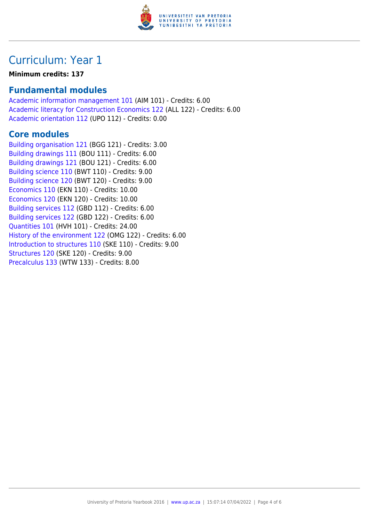

## Curriculum: Year 1

#### **Minimum credits: 137**

### **Fundamental modules**

[Academic information management 101](https://www.up.ac.za/yearbooks/2016/modules/view/AIM 101) (AIM 101) - Credits: 6.00 [Academic literacy for Construction Economics 122](https://www.up.ac.za/yearbooks/2016/modules/view/ALL 122) (ALL 122) - Credits: 6.00 [Academic orientation 112](https://www.up.ac.za/yearbooks/2016/modules/view/UPO 112) (UPO 112) - Credits: 0.00

### **Core modules**

[Building organisation 121](https://www.up.ac.za/yearbooks/2016/modules/view/BGG 121) (BGG 121) - Credits: 3.00 [Building drawings 111](https://www.up.ac.za/yearbooks/2016/modules/view/BOU 111) (BOU 111) - Credits: 6.00 [Building drawings 121](https://www.up.ac.za/yearbooks/2016/modules/view/BOU 121) (BOU 121) - Credits: 6.00 [Building science 110](https://www.up.ac.za/yearbooks/2016/modules/view/BWT 110) (BWT 110) - Credits: 9.00 [Building science 120](https://www.up.ac.za/yearbooks/2016/modules/view/BWT 120) (BWT 120) - Credits: 9.00 [Economics 110](https://www.up.ac.za/yearbooks/2016/modules/view/EKN 110) (EKN 110) - Credits: 10.00 [Economics 120](https://www.up.ac.za/yearbooks/2016/modules/view/EKN 120) (EKN 120) - Credits: 10.00 [Building services 112](https://www.up.ac.za/yearbooks/2016/modules/view/GBD 112) (GBD 112) - Credits: 6.00 [Building services 122](https://www.up.ac.za/yearbooks/2016/modules/view/GBD 122) (GBD 122) - Credits: 6.00 [Quantities 101](https://www.up.ac.za/yearbooks/2016/modules/view/HVH 101) (HVH 101) - Credits: 24.00 [History of the environment 122](https://www.up.ac.za/yearbooks/2016/modules/view/OMG 122) (OMG 122) - Credits: 6.00 [Introduction to structures 110](https://www.up.ac.za/yearbooks/2016/modules/view/SKE 110) (SKE 110) - Credits: 9.00 [Structures 120](https://www.up.ac.za/yearbooks/2016/modules/view/SKE 120) (SKE 120) - Credits: 9.00 [Precalculus 133](https://www.up.ac.za/yearbooks/2016/modules/view/WTW 133) (WTW 133) - Credits: 8.00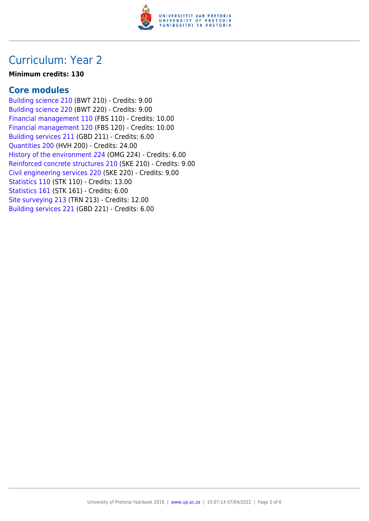

### Curriculum: Year 2

#### **Minimum credits: 130**

### **Core modules**

[Building science 210](https://www.up.ac.za/yearbooks/2016/modules/view/BWT 210) (BWT 210) - Credits: 9.00 [Building science 220](https://www.up.ac.za/yearbooks/2016/modules/view/BWT 220) (BWT 220) - Credits: 9.00 [Financial management 110](https://www.up.ac.za/yearbooks/2016/modules/view/FBS 110) (FBS 110) - Credits: 10.00 [Financial management 120](https://www.up.ac.za/yearbooks/2016/modules/view/FBS 120) (FBS 120) - Credits: 10.00 [Building services 211](https://www.up.ac.za/yearbooks/2016/modules/view/GBD 211) (GBD 211) - Credits: 6.00 [Quantities 200](https://www.up.ac.za/yearbooks/2016/modules/view/HVH 200) (HVH 200) - Credits: 24.00 [History of the environment 224](https://www.up.ac.za/yearbooks/2016/modules/view/OMG 224) (OMG 224) - Credits: 6.00 [Reinforced concrete structures 210](https://www.up.ac.za/yearbooks/2016/modules/view/SKE 210) (SKE 210) - Credits: 9.00 [Civil engineering services 220](https://www.up.ac.za/yearbooks/2016/modules/view/SKE 220) (SKE 220) - Credits: 9.00 [Statistics 110](https://www.up.ac.za/yearbooks/2016/modules/view/STK 110) (STK 110) - Credits: 13.00 [Statistics 161](https://www.up.ac.za/yearbooks/2016/modules/view/STK 161) (STK 161) - Credits: 6.00 [Site surveying 213](https://www.up.ac.za/yearbooks/2016/modules/view/TRN 213) (TRN 213) - Credits: 12.00 [Building services 221](https://www.up.ac.za/yearbooks/2016/modules/view/GBD 221) (GBD 221) - Credits: 6.00